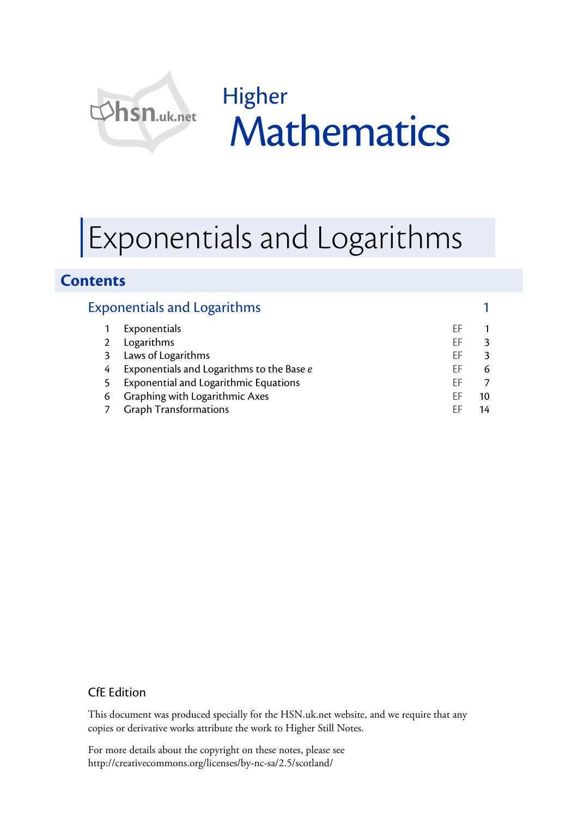

Higher **Mathematics** 

# Exponentials and Logarithms

### **Contents**

|   | <b>Exponentials and Logarithms</b>           |    |    |
|---|----------------------------------------------|----|----|
|   | Exponentials                                 | ΕF |    |
|   | Logarithms                                   | FF |    |
| 3 | Laws of Logarithms                           | FF |    |
| 4 | Exponentials and Logarithms to the Base e    | ΕF |    |
|   | <b>Exponential and Logarithmic Equations</b> | FF |    |
| 6 | Graphing with Logarithmic Axes               | FF | 10 |
|   | <b>Graph Transformations</b>                 | FF |    |

#### CfE Edition

This document was produced specially for the HSN.uk.net website, and we require that any copies or derivative works attribute the work to Higher Still Notes.

For more details about the copyright on these notes, please see http://creativecommons.org/licenses/by-nc-sa/2.5/scotland/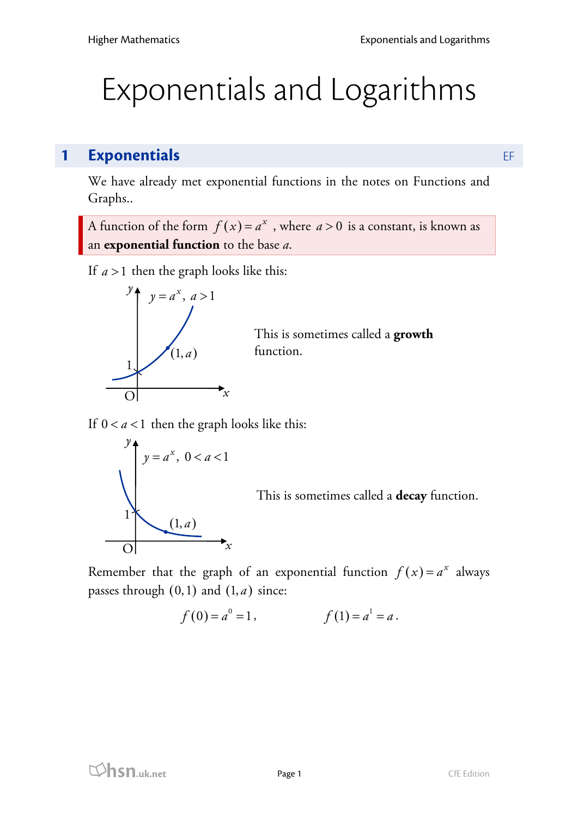# Exponentials and Logarithms

# **1 Exponentials** EF

We have already met exponential functions in the notes on Functions and Graphs..

A function of the form  $f(x) = a^x$ , where  $a > 0$  is a constant, is known as an **exponential function** to the base *a*.

If  $a > 1$  then the graph looks like this:



This is sometimes called a **growth** function.

If  $0 < a < 1$  then the graph looks like this:



This is sometimes called a **decay** function.

Remember that the graph of an exponential function  $f(x) = a^x$  always passes through  $(0,1)$  and  $(1,a)$  since:

$$
f(0) = a^0 = 1,
$$
  $f(1) = a^1 = a.$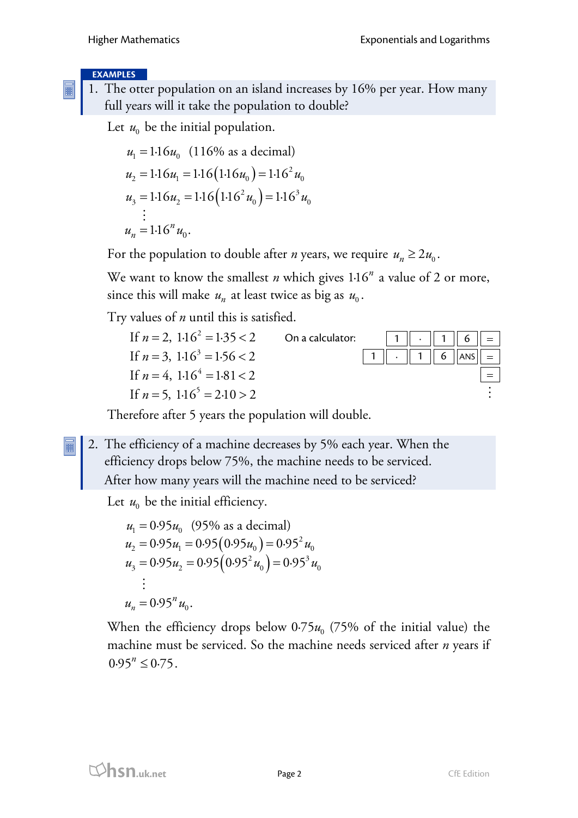#### **EXAMPLES**

1. The otter population on an island increases by 16% per year. How many full years will it take the population to double?

Let  $u_0$  be the initial population.

$$
u_1 = 1.16u_0 \quad (116\% \text{ as a decimal})
$$
  
\n
$$
u_2 = 1.16u_1 = 1.16(1.16u_0) = 1.16^2u_0
$$
  
\n
$$
u_3 = 1.16u_2 = 1.16(1.16^2u_0) = 1.16^3u_0
$$
  
\n
$$
\vdots
$$
  
\n
$$
u_n = 1.16^nu_0.
$$

For the population to double after *n* years, we require  $u_n \geq 2u_0$ .

We want to know the smallest *n* which gives 1.16<sup>*n*</sup> a value of 2 or more, since this will make  $u_n$  at least twice as big as  $u_0$ .

Try values of *n* until this is satisfied.

| If $n = 2$ , $1.16^2 = 1.35 < 2$ | On a calculator: | $\ 1\  \cdot \ 1\ $ 6 $\  =$ |  |
|----------------------------------|------------------|------------------------------|--|
| If $n = 3$ , $1.16^3 = 1.56 < 2$ |                  | 1    .    1    6   ANS   =   |  |
| If $n = 4$ , $1.16^4 = 1.81 < 2$ |                  |                              |  |
| If $n = 5$ , $1.16^5 = 2.10 > 2$ |                  |                              |  |

Therefore after 5 years the population will double.

2. The efficiency of a machine decreases by 5% each year. When the efficiency drops below 75%, the machine needs to be serviced.

After how many years will the machine need to be serviced?

Let  $u_0$  be the initial efficiency.

$$
u_1 = 0.95u_0 \quad (95\% \text{ as a decimal})
$$
  
\n
$$
u_2 = 0.95u_1 = 0.95(0.95u_0) = 0.95^2u_0
$$
  
\n
$$
u_3 = 0.95u_2 = 0.95(0.95^2u_0) = 0.95^3u_0
$$
  
\n
$$
\vdots
$$
  
\n
$$
u_n = 0.95^n u_0.
$$

When the efficiency drops below  $0.75u_0$  (75% of the initial value) the machine must be serviced. So the machine needs serviced after *n* years if  $0.95^{n} \le 0.75$ .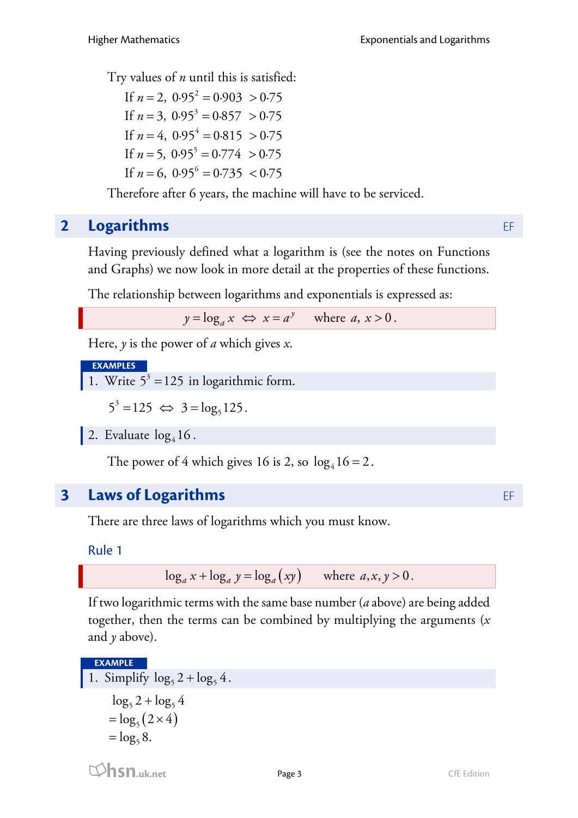Try values of *n* until this is satisfied:

If  $n = 2$ ,  $0.95^2 = 0.903 > 0.75$ If  $n = 3$ ,  $0.95^3 = 0.857 > 0.75$ If  $n = 4$ ,  $0.95^4 = 0.815 > 0.75$ If  $n = 5$ ,  $0.95^5 = 0.774 > 0.75$ If  $n = 6$ ,  $0.95^6 = 0.735 < 0.75$ 

Therefore after 6 years, the machine will have to be serviced.

# **2 Logarithms** EF

Having previously defined what a logarithm is (see the notes on Functions and Graphs) we now look in more detail at the properties of these functions.

The relationship between logarithms and exponentials is expressed as:

 $y = \log_a x \iff x = a^y$  where *a*,  $x > 0$ .

Here, *y* is the power of *a* which gives *x*.

**EXAMPLES**

1. Write  $5^3 = 125$  in logarithmic form.

 $5^3 = 125 \Leftrightarrow 3 = \log_5 125.$ 

2. Evaluate  $log<sub>4</sub> 16$ .

The power of 4 which gives 16 is 2, so  $log<sub>4</sub> 16 = 2$ .

# **3 Laws of Logarithms** EF

There are three laws of logarithms which you must know.

Rule 1

 $\log_a x + \log_a y = \log_a (xy)$  where  $a, x, y > 0$ .

If two logarithmic terms with the same base number (*a* above) are being added together, then the terms can be combined by multiplying the arguments (*x* and  $\nu$  above).

**EXAMPLE**

```
1. Simplify \log_5 2 + \log_5 4.
=\log_5(2\times4)\log_5 2 + \log_5 4= \log_5 8.
```
**hsn.uk.net** Page 3 CfE Edition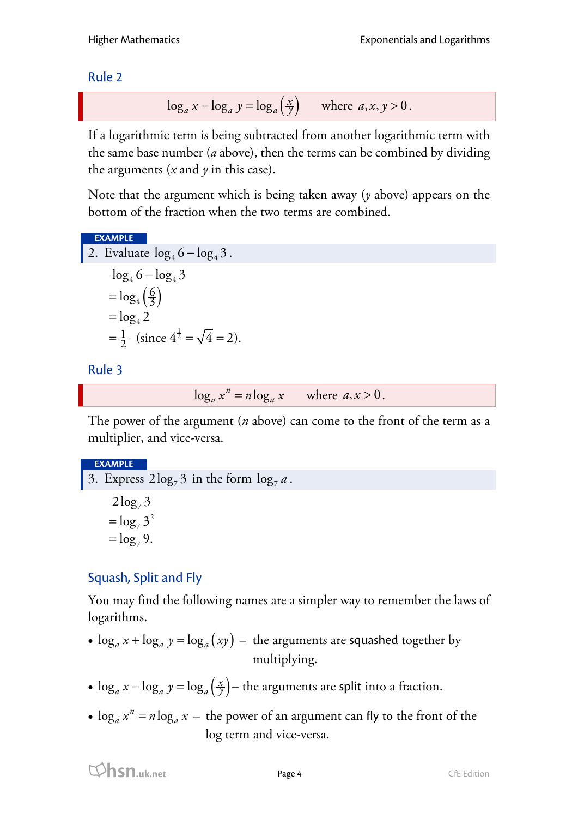Rule 2

$$
\log_a x - \log_a y = \log_a \left(\frac{x}{y}\right) \quad \text{where } a, x, y > 0.
$$

If a logarithmic term is being subtracted from another logarithmic term with the same base number (*a* above), then the terms can be combined by dividing the arguments  $(x \text{ and } y \text{ in this case}).$ 

Note that the argument which is being taken away (*y* above) appears on the bottom of the fraction when the two terms are combined.

#### **EXAMPLE**

2. Evaluate 
$$
\log_4 6 - \log_4 3
$$
.  
\n $\log_4 6 - \log_4 3$   
\n $= \log_4 (\frac{6}{3})$   
\n $= \log_4 2$   
\n $= \frac{1}{2} \text{ (since } 4^{\frac{1}{2}} = \sqrt{4} = 2\text{).}$ 

#### Rule 3

 $\log_a x^n = n \log_a x$  where  $a, x > 0$ .

The power of the argument (*n* above) can come to the front of the term as a multiplier, and vice-versa.

#### **EXAMPLE**

3. Express  $2\log_7 3$  in the form  $\log_7 a$ .  $2\log_7 3$ 2  $=\log_7 3$  $=$   $\log_7 9$ .

## Squash, Split and Fly

You may find the following names are a simpler way to remember the laws of logarithms.

- $\log_a x + \log_a y = \log_a (xy)$  the arguments are squashed together by multiplying.
- $\log_a x \log_a y = \log_a \left( \frac{x}{y} \right)$  *x* the arguments are split into a fraction.
- $\log_a x^n = n \log_a x$  the power of an argument can fly to the front of the log term and vice-versa.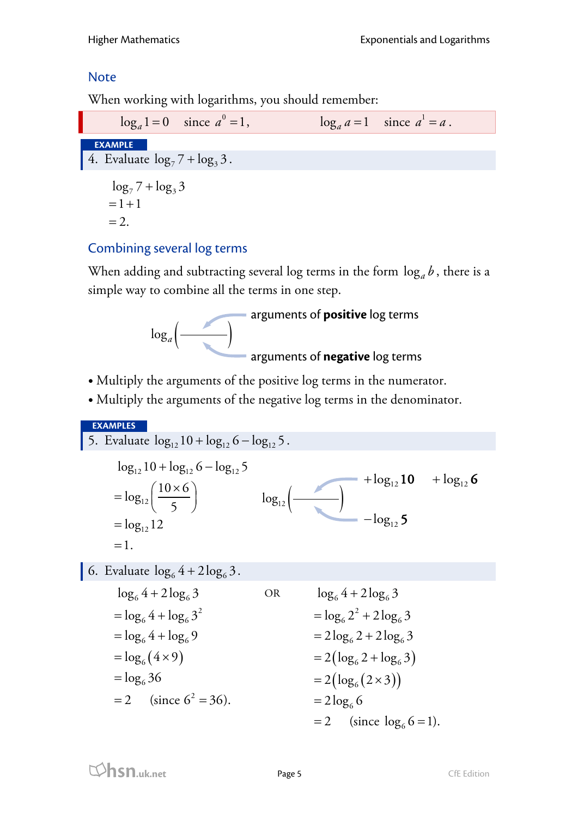## **Note**

When working with logarithms, you should remember:

 $\log_a 1 = 0$  since  $a^0 = 1$ ,  $a^0 = 1$ ,  $\log_a a = 1$  since  $a^1 = a$ . **EXAMPLE** 4. Evaluate  $\log_7 7 + \log_3 3$ .  $\log_7 7 + \log_3 3$  $= 1 + 1$  $=2$ .

## Combining several log terms

When adding and subtracting several log terms in the form  $\log_a b$ , there is a simple way to combine all the terms in one step.



- Multiply the arguments of the positive log terms in the numerator.
- Multiply the arguments of the negative log terms in the denominator.

**EXAMPLES** 5. Evaluate  $log_{12} 10 + log_{12} 6 - log_{12} 5$ .  $12^{10}$   $10^{20}$   $10^{212}$ 12 12  $\log_{12} 10 + \log_{12} 6 - \log_{12} 5$  $log_{12} \left( \frac{10 \times 6}{5} \right)$  $\log_{12} 12$  $=1$ .  $= \log_{12} \left( \frac{10 \times 6}{5} \right)$ = 6. Evaluate  $\log_6 4 + 2\log_6 3$ .  $=\log_6(4\times9)$  $\log_6 4 + 2\log_6 3$ 2  $=$   $\log_6 4 + \log_6 3$  $=$   $\log_6 4 + \log_6 9$  $=$   $\log_6 36$  $= 2$  (since  $6^2 = 36$ ). OR  $= 2(\log_6 2 + \log_6 3)$  $= 2(\log_6(2\times3))$  $\log_6 4 + 2\log_6 3$ 2  $=$   $\log_6 2^2 + 2\log_6 3$  $= 2 \log_6 2 + 2 \log_6 3$  $= 2 \log_6 6$  $= 2$  (since  $log_6 6 = 1$ ).  $log_{12}$   $\left(\frac{1}{\sqrt{2}}\right)$  $+ \log_{12} 10 + \log_{12} 6$  $-\log_{12} 5$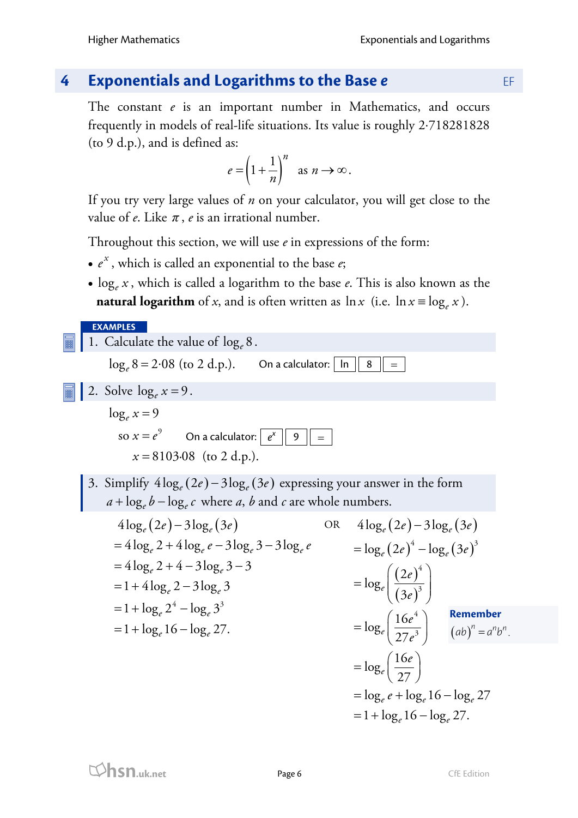## **4 Exponentials and Logarithms to the Base** *e* EF

The constant *e* is an important number in Mathematics, and occurs frequently in models of real-life situations. Its value is roughly 2⋅718281828 (to 9 d.p.), and is defined as:

$$
e = \left(1 + \frac{1}{n}\right)^n \text{ as } n \to \infty.
$$

If you try very large values of *n* on your calculator, you will get close to the value of  $e$ . Like  $\pi$ ,  $e$  is an irrational number.

Throughout this section, we will use *e* in expressions of the form:

- $\bullet$   $e^x$ , which is called an exponential to the base  $e$ ;
- log*<sup>e</sup> x* , which is called a logarithm to the base *e*. This is also known as the **natural logarithm** of *x*, and is often written as  $\ln x$  (i.e.  $\ln x \equiv \log_e x$ ).



$$
=1+\log_e 16-\log_e 27.
$$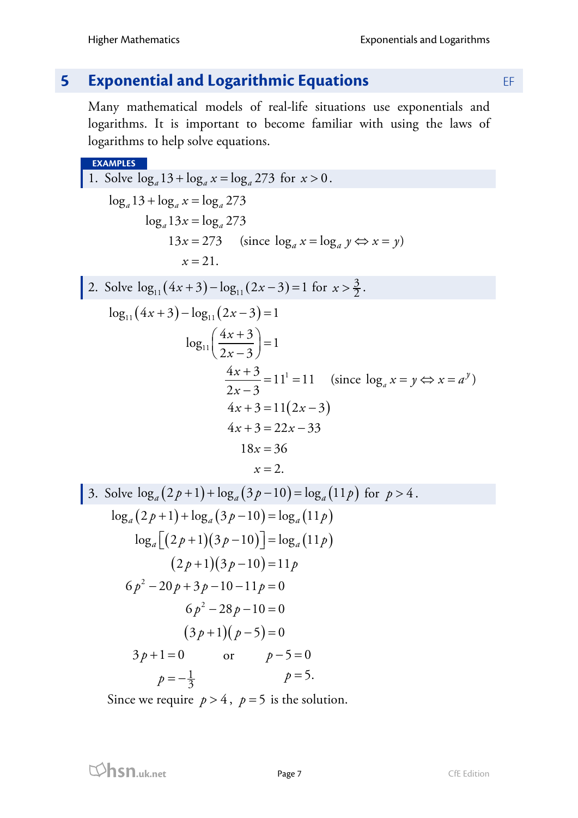# **5 Exponential and Logarithmic Equations EF**

Many mathematical models of real-life situations use exponentials and logarithms. It is important to become familiar with using the laws of logarithms to help solve equations.

#### **EXAMPLES**

1. Solve 
$$
\log_a 13 + \log_a x = \log_a 273
$$
 for  $x > 0$ .  
\n $\log_a 13 + \log_a x = \log_a 273$   
\n $\log_a 13x = \log_a 273$   
\n $13x = 273$  (since  $\log_a x = \log_a y \Leftrightarrow x = y$ )  
\n $x = 21$ .  
\n2. Solve  $\log_{11}(4x + 3) - \log_{11}(2x - 3) = 1$  for  $x > \frac{3}{2}$ .  
\n $\log_{11}(4x + 3) - \log_{11}(2x - 3) = 1$   
\n $\log_{11}(\frac{4x + 3}{2x - 3}) = 1$   
\n $\frac{4x + 3}{2x - 3} = 11^1 = 11$  (since  $\log_a x = y \Leftrightarrow x = a^y$ )  
\n $4x + 3 = 11(2x - 3)$   
\n $4x + 3 = 22x - 33$   
\n $18x = 36$   
\n $x = 2$ .  
\n3. Solve  $\log_a(2p + 1) + \log_a(3p - 10) = \log_a(11p)$  for  $p > 4$ .  
\n $\log_a(2p + 1) + \log_a(3p - 10) = \log_a(11p)$   
\n $\log_a[(2p + 1)(3p - 10)] = \log_a(11p)$   
\n $(2p + 1)(3p - 10) = 11p$   
\n $6p^2 - 28p - 10 = 0$   
\n $6p^2 - 28p - 10 = 0$   
\n $3p + 1 = 0$  or  $p - 5 = 0$   
\n $p = -\frac{1}{3}$   $p = 5$ .

Since we require  $p > 4$ ,  $p = 5$  is the solution.

**hsn.uk.net** Page 7 CfE Edition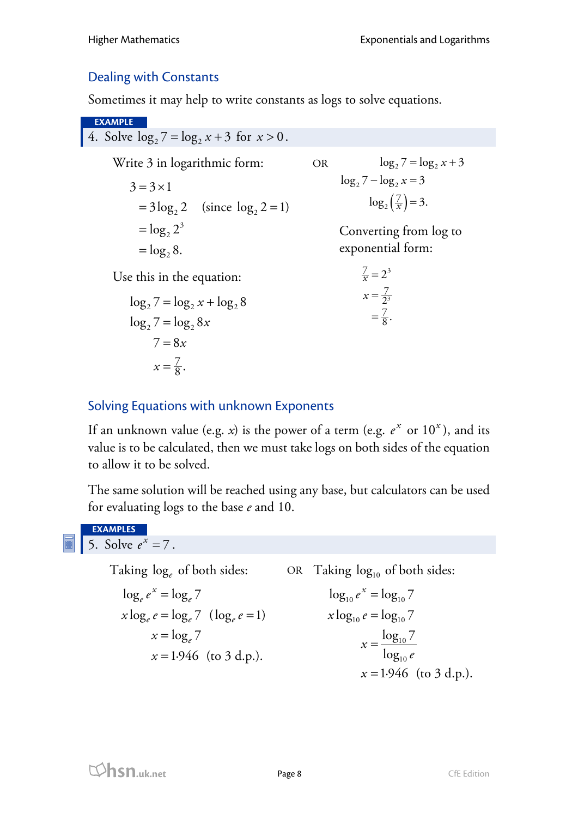## Dealing with Constants

Sometimes it may help to write constants as logs to solve equations.

**EXAMPLE** 4. Solve  $\log_2 7 = \log_2 x + 3$  for  $x > 0$ . Write 3 in logarithmic form:  $= 3 \log_2 2$  (since  $\log_2 2 = 1$ ) 3  $=$   $\log_2 2$  $=$   $\log_2 8$ .  $3 = 3 \times 1$ Use this in the equation:  $\log_2 7 = \log_2 x + \log_2 8$  $\log_2 7 = \log_2 8x$ 7  $x=\frac{7}{8}$ .  $7 = 8x$ OR  $\log_2\left(\frac{7}{x}\right) = 3.$  $\log_2 7 = \log_2 x + 3$  $\log_2 7 - \log_2 x = 3$ Converting from log to exponential form:  $\frac{7}{2^3}$  $\frac{7}{x} = 2^3$  $x=\frac{1}{2}$ 7  $=\frac{7}{8}$ .

## Solving Equations with unknown Exponents

If an unknown value (e.g. *x*) is the power of a term (e.g.  $e^x$  or  $10^x$ ), and its value is to be calculated, then we must take logs on both sides of the equation to allow it to be solved.

The same solution will be reached using any base, but calculators can be used for evaluating logs to the base *e* and 10.

**EXAMPLES** 5. Solve  $e^{x} = 7$ .

> Taking  $\log_e$  of both sides: OR Taking  $\log_{10}$  of both sides:  $\log_e e^x = \log_e 7$  $x \log_e e = \log_e 7$  ( $\log_e e = 1$ )  $x = \log_e 7$  $x = 1.946$  (to 3 d.p.).  $\log_{10} e^x = \log_{10} 7$  $x \log_{10} e = \log_{10} 7$ 10 10  $\log_{10} 7$ log  $x = 1.946$  (to 3 d.p.). *x e* =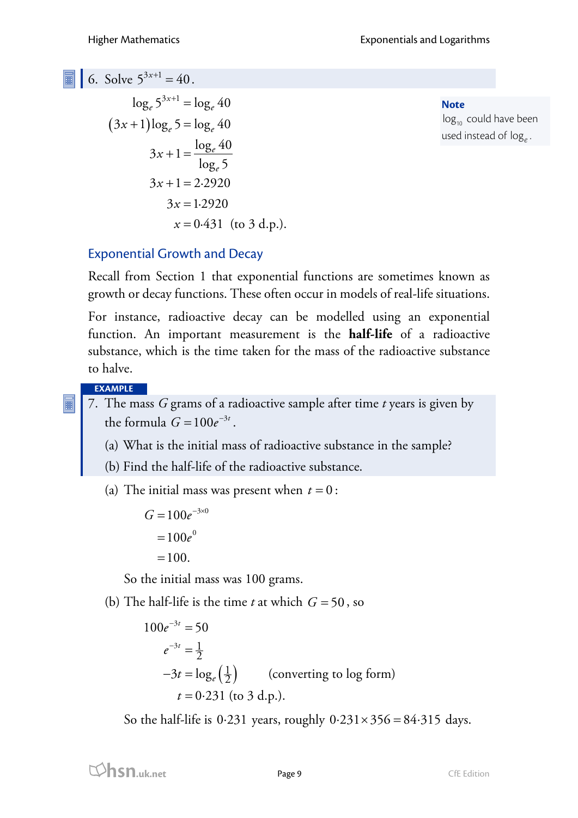6. Solve  $5^{3x+1} = 40$ .

$$
\log_e 5^{3x+1} = \log_e 40
$$
  
(3x+1)log\_e 5 = log\_e 40  
3x + 1 =  $\frac{\log_e 40}{\log_e 5}$   
3x + 1 = 2.2920  
3x = 1.2920  
x = 0.431 (to 3 d.p.).

**Note**  $log_{10}$  could have been used instead of log*<sup>e</sup>* .

### Exponential Growth and Decay

Recall from Section 1 that exponential functions are sometimes known as growth or decay functions. These often occur in models of real-life situations.

For instance, radioactive decay can be modelled using an exponential function. An important measurement is the **half-life** of a radioactive substance, which is the time taken for the mass of the radioactive substance to halve.

#### **EXAMPLE**

- 7. The mass *G* grams of a radioactive sample after time *t* years is given by the formula  $G = 100 e^{-3t}$ .
	- (a) What is the initial mass of radioactive substance in the sample?
	- (b) Find the half-life of the radioactive substance.

(a) The initial mass was present when  $t = 0$ :

 $G = 100e^{-3 \times 0}$  $=100e^0$ 

 $=100.$ 

So the initial mass was 100 grams.

(b) The half-life is the time *t* at which  $G = 50$ , so

 $\left(\frac{1}{2}\right)$  $100e^{-3t} = 50$  $3^t = \frac{1}{3}$ 2  $-3t = \log_e\left(\frac{1}{2}\right)$  (converting to log form)  $t = 0.231$  (to 3 d.p.).  $e^{-3t} =$ 

So the half-life is 0.231 years, roughly  $0.231 \times 356 = 84.315$  days.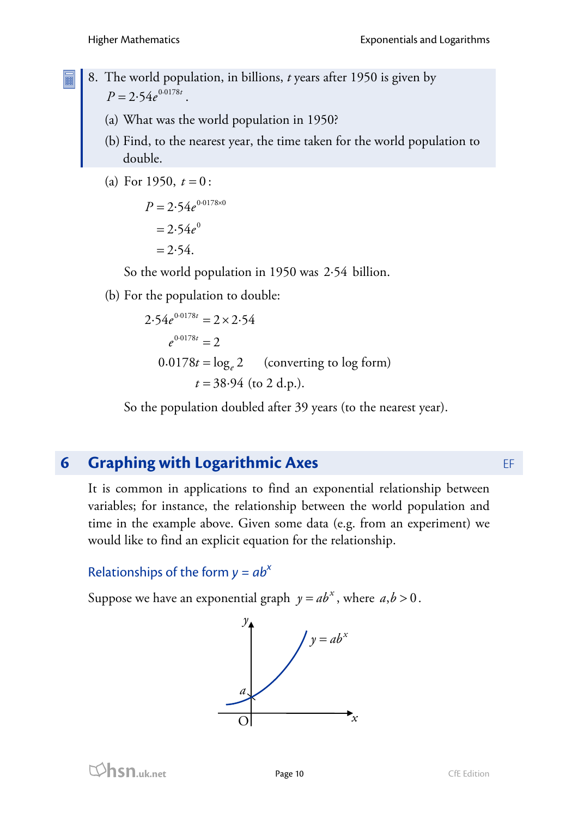- 8. The world population, in billions, *t* years after 1950 is given by  $P = 2.54 e^{0.0178t}$ .
	- (a) What was the world population in 1950?
	- (b) Find, to the nearest year, the time taken for the world population to double.
	- (a) For 1950,  $t = 0$ :

 $P = 2.54e^{0.0178\times0}$  $= 2.54 e^{0}$  $= 2.54.$ 

So the world population in 1950 was  $2.54$  billion.

(b) For the population to double:

$$
2.54e^{0.0178t} = 2 \times 2.54
$$
  

$$
e^{0.0178t} = 2
$$
  

$$
0.0178t = \log_e 2
$$
 (converting to log form)  

$$
t = 38.94
$$
 (to 2 d.p.).

So the population doubled after 39 years (to the nearest year).

# **6 Graphing with Logarithmic Axes EF**

It is common in applications to find an exponential relationship between variables; for instance, the relationship between the world population and time in the example above. Given some data (e.g. from an experiment) we would like to find an explicit equation for the relationship.

## Relationships of the form  $y = ab^x$

Suppose we have an exponential graph  $y = ab^x$ , where  $a, b > 0$ .

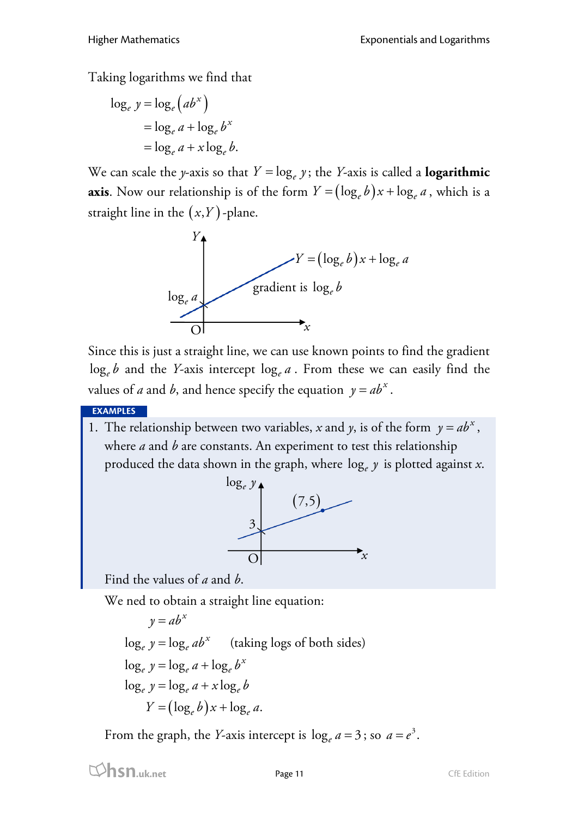Taking logarithms we find that

$$
\log_e y = \log_e (ab^x)
$$
  
=  $\log_e a + \log_e b^x$   
=  $\log_e a + x \log_e b$ .

We can scale the *y*-axis so that  $Y = \log_e y$ ; the *Y*-axis is called a **logarithmic axis**. Now our relationship is of the form  $Y = (\log_e b)x + \log_e a$ , which is a straight line in the  $(x, Y)$ -plane.



Since this is just a straight line, we can use known points to find the gradient  $\log_e b$  and the *Y*-axis intercept  $\log_e a$ . From these we can easily find the values of *a* and *b*, and hence specify the equation  $y = ab^x$ .

**EXAMPLES**

1. The relationship between two variables, *x* and *y*, is of the form  $y = ab^x$ , where *a* and *b* are constants. An experiment to test this relationship produced the data shown in the graph, where log*<sup>e</sup> y* is plotted against *x*.



Find the values of *a* and *b*.

We ned to obtain a straight line equation:

$$
y = ab^{x}
$$
  
\n
$$
\log_e y = \log_e ab^{x}
$$
 (taking logs of both sides)  
\n
$$
\log_e y = \log_e a + \log_e b^{x}
$$
  
\n
$$
\log_e y = \log_e a + x \log_e b
$$
  
\n
$$
Y = (\log_e b)x + \log_e a.
$$

From the graph, the *Y*-axis intercept is  $\log_e a = 3$ ; so  $a = e^3$ .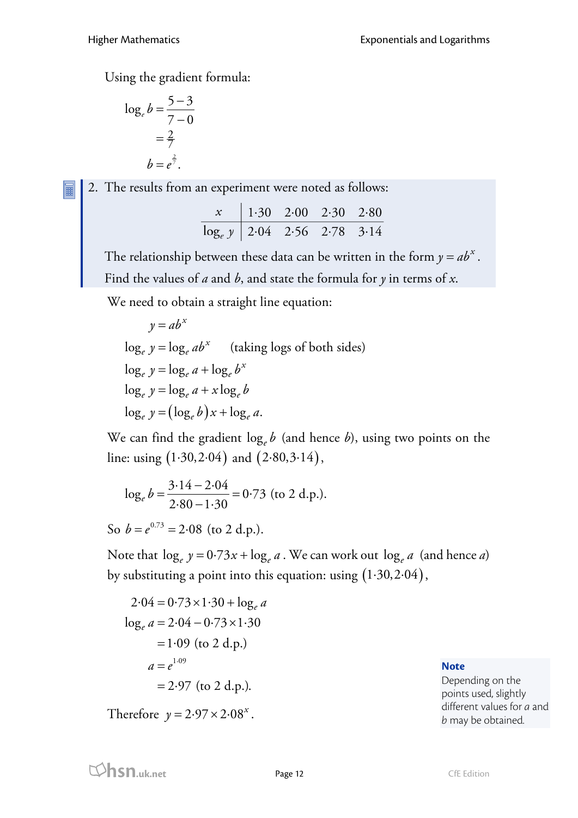Using the gradient formula:

$$
\log_e b = \frac{5-3}{7-0}
$$

$$
= \frac{2}{7}
$$

$$
b = e^{\frac{2}{7}}.
$$

2. The results from an experiment were noted as follows:

|                                | $x \begin{bmatrix} 1.30 & 2.00 & 2.30 & 2.80 \end{bmatrix}$ |  |  |
|--------------------------------|-------------------------------------------------------------|--|--|
| $\log_e y$ 2.04 2.56 2.78 3.14 |                                                             |  |  |

The relationship between these data can be written in the form  $y = ab^x$ . Find the values of *a* and *b*, and state the formula for *y* in terms of *x*.

We need to obtain a straight line equation:

$$
y = ab^{x}
$$
  
\n
$$
\log_e y = \log_e ab^{x}
$$
 (taking logs of both sides)  
\n
$$
\log_e y = \log_e a + \log_e b^{x}
$$
  
\n
$$
\log_e y = \log_e a + x \log_e b
$$
  
\n
$$
\log_e y = (\log_e b)x + \log_e a.
$$

We can find the gradient  $\log_e b$  (and hence *b*), using two points on the line: using  $(1.30, 2.04)$  and  $(2.80, 3.14)$ ,

$$
\log_e b = \frac{3.14 - 2.04}{2.80 - 1.30} = 0.73
$$
 (to 2 d.p.).

So  $b = e^{0.73} = 2.08$  (to 2 d.p.).

Note that  $\log_e y = 0.73x + \log_e a$ . We can work out  $\log_e a$  (and hence *a*) by substituting a point into this equation: using  $(1.30, 2.04)$ ,

 $a = e^{1.09}$  $2.04 = 0.73 \times 1.30 + \log_e a$  $\log_e a = 2.04 - 0.73 \times 1.30$  $= 1.09$  (to 2 d.p.)  $= 2.97$  (to 2 d.p.).

Therefore  $y = 2.97 \times 2.08^x$ .

**Note**

Depending on the points used, slightly different values for *a* and *b* may be obtained.

**html**<br>**hsn.uk.net** Page 12 CfE Edition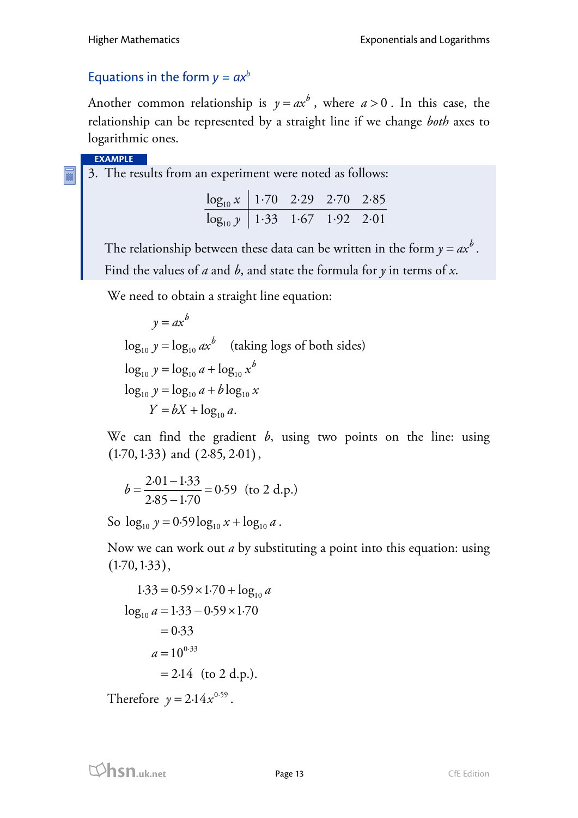#### Equations in the form  $y = ax^b$

Another common relationship is  $y = ax^b$ , where  $a > 0$ . In this case, the relationship can be represented by a straight line if we change *both* axes to logarithmic ones.

**EXAMPLE**

F

3. The results from an experiment were noted as follows:

| $\log_{10} x$   1.70 2.29 2.70 2.85 |  |  |
|-------------------------------------|--|--|
| $\log_{10} y$ 1.33 1.67 1.92 2.01   |  |  |

The relationship between these data can be written in the form  $y = a x^b$  . Find the values of *a* and *b*, and state the formula for *y* in terms of *x*.

We need to obtain a straight line equation:

$$
y = ax^{b}
$$
  
\n
$$
\log_{10} y = \log_{10} ax^{b}
$$
 (taking logs of both sides)  
\n
$$
\log_{10} y = \log_{10} a + \log_{10} x^{b}
$$
  
\n
$$
\log_{10} y = \log_{10} a + b \log_{10} x
$$
  
\n
$$
Y = bX + \log_{10} a.
$$

We can find the gradient *b*, using two points on the line: using  $(1.70, 1.33)$  and  $(2.85, 2.01)$ ,

$$
b = \frac{2.01 - 1.33}{2.85 - 1.70} = 0.59
$$
 (to 2 d.p.)

So  $\log_{10} y = 0.59 \log_{10} x + \log_{10} a$ .

Now we can work out *a* by substituting a point into this equation: using  $(1.70, 1.33),$ 

$$
1.33 = 0.59 \times 1.70 + \log_{10} a
$$
  

$$
\log_{10} a = 1.33 - 0.59 \times 1.70
$$
  

$$
= 0.33
$$
  

$$
a = 10^{0.33}
$$
  

$$
= 2.14 \text{ (to 2 d.p.).}
$$

Therefore  $y = 2.14x^{0.59}$ .

**hsn.uk.net** Page 13 Page 13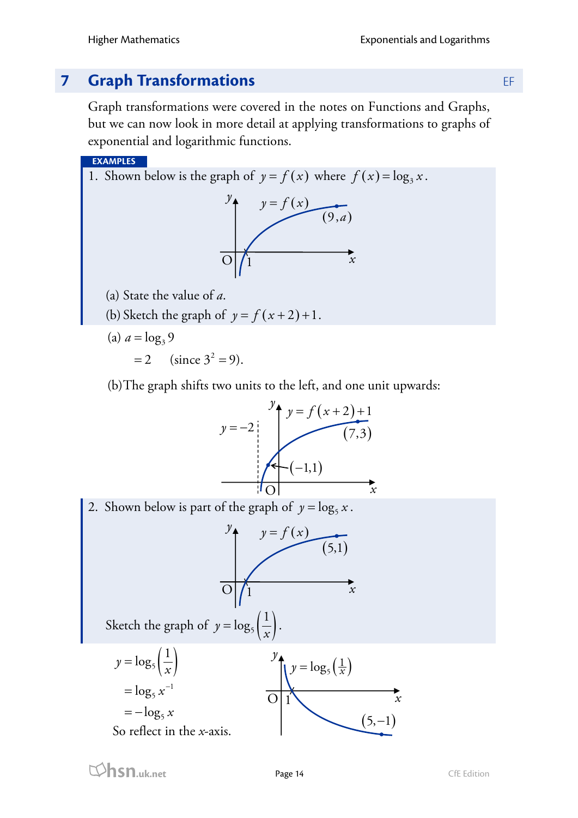# **7 <b>Graph Transformations** EF

Graph transformations were covered in the notes on Functions and Graphs, but we can now look in more detail at applying transformations to graphs of exponential and logarithmic functions.

**EXAMPLES**

1. Shown below is the graph of  $y = f(x)$  where  $f(x) = \log_3 x$ .



(a) State the value of *a*.

(b) Sketch the graph of 
$$
y = f(x+2)+1
$$
.

(a)  $a = \log_3 9$ 

 $= 2$  (since  $3^2 = 9$ ).

(b)The graph shifts two units to the left, and one unit upwards: